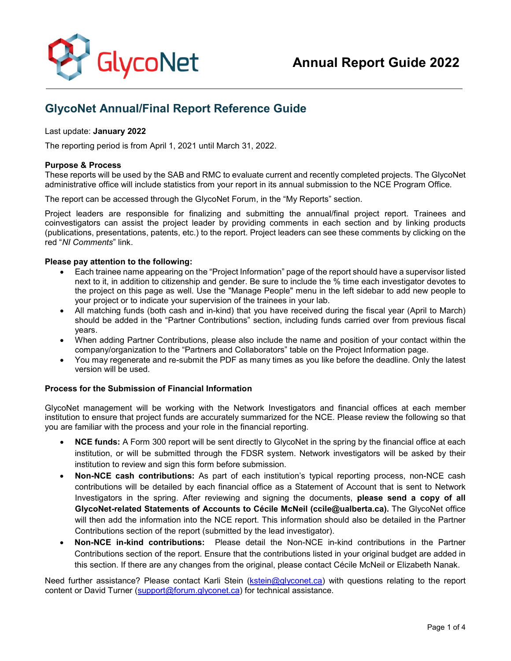

# **GlycoNet Annual/Final Report Reference Guide**

## Last update: **January 2022**

The reporting period is from April 1, 2021 until March 31, 2022.

## **Purpose & Process**

These reports will be used by the SAB and RMC to evaluate current and recently completed projects. The GlycoNet administrative office will include statistics from your report in its annual submission to the NCE Program Office.

The report can be accessed through the GlycoNet Forum, in the "My Reports" section.

Project leaders are responsible for finalizing and submitting the annual/final project report. Trainees and coinvestigators can assist the project leader by providing comments in each section and by linking products (publications, presentations, patents, etc.) to the report. Project leaders can see these comments by clicking on the red "*NI Comments*" link.

## **Please pay attention to the following:**

- Each trainee name appearing on the "Project Information" page of the report should have a supervisor listed next to it, in addition to citizenship and gender. Be sure to include the % time each investigator devotes to the project on this page as well. Use the "Manage People" menu in the left sidebar to add new people to your project or to indicate your supervision of the trainees in your lab.
- All matching funds (both cash and in-kind) that you have received during the fiscal year (April to March) should be added in the "Partner Contributions" section, including funds carried over from previous fiscal years.
- When adding Partner Contributions, please also include the name and position of your contact within the company/organization to the "Partners and Collaborators" table on the Project Information page.
- You may regenerate and re-submit the PDF as many times as you like before the deadline. Only the latest version will be used.

## **Process for the Submission of Financial Information**

GlycoNet management will be working with the Network Investigators and financial offices at each member institution to ensure that project funds are accurately summarized for the NCE. Please review the following so that you are familiar with the process and your role in the financial reporting.

- **NCE funds:** A Form 300 report will be sent directly to GlycoNet in the spring by the financial office at each institution, or will be submitted through the FDSR system. Network investigators will be asked by their institution to review and sign this form before submission.
- **Non-NCE cash contributions:** As part of each institution's typical reporting process, non-NCE cash contributions will be detailed by each financial office as a Statement of Account that is sent to Network Investigators in the spring. After reviewing and signing the documents, **please send a copy of all GlycoNet-related Statements of Accounts to Cécile McNeil (ccile@ualberta.ca).** The GlycoNet office will then add the information into the NCE report. This information should also be detailed in the Partner Contributions section of the report (submitted by the lead investigator).
- **Non-NCE in-kind contributions:** Please detail the Non-NCE in-kind contributions in the Partner Contributions section of the report. Ensure that the contributions listed in your original budget are added in this section. If there are any changes from the original, please contact Cécile McNeil or Elizabeth Nanak.

Need further assistance? Please contact Karli Stein [\(kstein@glyconet.ca\)](mailto:kstein@glyconet.ca) with questions relating to the report content or David Turner [\(support@forum.glyconet.ca\)](mailto:support@forum.glyconet.ca) for technical assistance.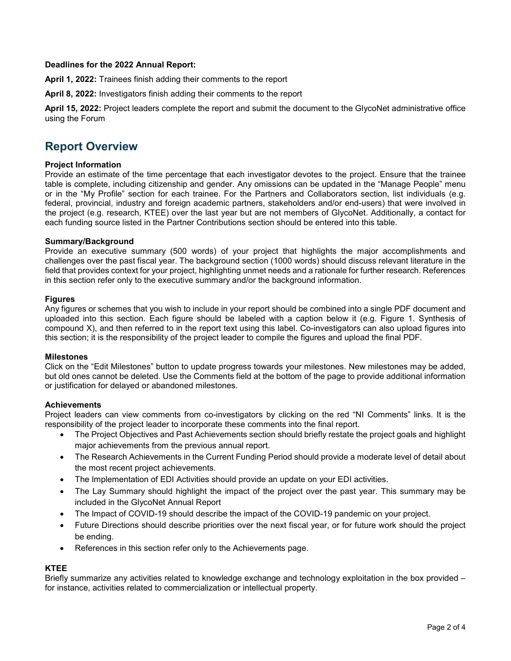## **Deadlines for the 2022 Annual Report:**

**April 1, 2022:** Trainees finish adding their comments to the report

**April 8, 2022:** Investigators finish adding their comments to the report

**April 15, 2022:** Project leaders complete the report and submit the document to the GlycoNet administrative office using the Forum

## **Report Overview**

#### **Project Information**

Provide an estimate of the time percentage that each investigator devotes to the project. Ensure that the trainee table is complete, including citizenship and gender. Any omissions can be updated in the "Manage People" menu or in the "My Profile" section for each trainee. For the Partners and Collaborators section, list individuals (e.g. federal, provincial, industry and foreign academic partners, stakeholders and/or end-users) that were involved in the project (e.g. research, KTEE) over the last year but are not members of GlycoNet. Additionally, a contact for each funding source listed in the Partner Contributions section should be entered into this table.

#### **Summary/Background**

Provide an executive summary (500 words) of your project that highlights the major accomplishments and challenges over the past fiscal year. The background section (1000 words) should discuss relevant literature in the field that provides context for your project, highlighting unmet needs and a rationale for further research. References in this section refer only to the executive summary and/or the background information.

#### **Figures**

Any figures or schemes that you wish to include in your report should be combined into a single PDF document and uploaded into this section. Each figure should be labeled with a caption below it (e.g. Figure 1. Synthesis of compound X), and then referred to in the report text using this label. Co-investigators can also upload figures into this section; it is the responsibility of the project leader to compile the figures and upload the final PDF.

## **Milestones**

Click on the "Edit Milestones" button to update progress towards your milestones. New milestones may be added, but old ones cannot be deleted. Use the Comments field at the bottom of the page to provide additional information or justification for delayed or abandoned milestones.

## **Achievements**

Project leaders can view comments from co-investigators by clicking on the red "NI Comments" links. It is the responsibility of the project leader to incorporate these comments into the final report.

- The Project Objectives and Past Achievements section should briefly restate the project goals and highlight major achievements from the previous annual report.
- The Research Achievements in the Current Funding Period should provide a moderate level of detail about the most recent project achievements.
- The Implementation of EDI Activities should provide an update on your EDI activities.
- The Lay Summary should highlight the impact of the project over the past year. This summary may be included in the GlycoNet Annual Report
- The Impact of COVID-19 should describe the impact of the COVID-19 pandemic on your project.
- Future Directions should describe priorities over the next fiscal year, or for future work should the project be ending.
- References in this section refer only to the Achievements page.

## **KTEE**

Briefly summarize any activities related to knowledge exchange and technology exploitation in the box provided – for instance, activities related to commercialization or intellectual property.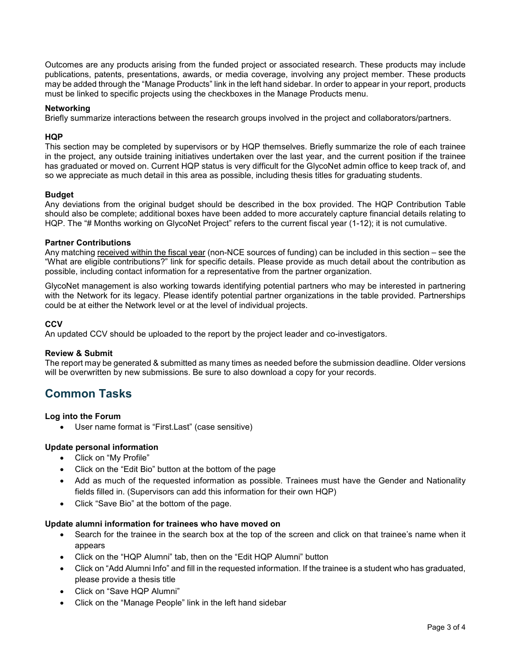Outcomes are any products arising from the funded project or associated research. These products may include publications, patents, presentations, awards, or media coverage, involving any project member. These products may be added through the "Manage Products" link in the left hand sidebar. In order to appear in your report, products must be linked to specific projects using the checkboxes in the Manage Products menu.

## **Networking**

Briefly summarize interactions between the research groups involved in the project and collaborators/partners.

## **HQP**

This section may be completed by supervisors or by HQP themselves. Briefly summarize the role of each trainee in the project, any outside training initiatives undertaken over the last year, and the current position if the trainee has graduated or moved on. Current HQP status is very difficult for the GlycoNet admin office to keep track of, and so we appreciate as much detail in this area as possible, including thesis titles for graduating students.

## **Budget**

Any deviations from the original budget should be described in the box provided. The HQP Contribution Table should also be complete; additional boxes have been added to more accurately capture financial details relating to HQP. The "# Months working on GlycoNet Project" refers to the current fiscal year (1-12); it is not cumulative.

## **Partner Contributions**

Any matching received within the fiscal year (non-NCE sources of funding) can be included in this section – see the "What are eligible contributions?" link for specific details. Please provide as much detail about the contribution as possible, including contact information for a representative from the partner organization.

GlycoNet management is also working towards identifying potential partners who may be interested in partnering with the Network for its legacy. Please identify potential partner organizations in the table provided. Partnerships could be at either the Network level or at the level of individual projects.

## **CCV**

An updated CCV should be uploaded to the report by the project leader and co-investigators.

## **Review & Submit**

The report may be generated & submitted as many times as needed before the submission deadline. Older versions will be overwritten by new submissions. Be sure to also download a copy for your records.

## **Common Tasks**

## **Log into the Forum**

• User name format is "First.Last" (case sensitive)

## **Update personal information**

- Click on "My Profile"
- Click on the "Edit Bio" button at the bottom of the page
- Add as much of the requested information as possible. Trainees must have the Gender and Nationality fields filled in. (Supervisors can add this information for their own HQP)
- Click "Save Bio" at the bottom of the page.

## **Update alumni information for trainees who have moved on**

- Search for the trainee in the search box at the top of the screen and click on that trainee's name when it appears
- Click on the "HQP Alumni" tab, then on the "Edit HQP Alumni" button
- Click on "Add Alumni Info" and fill in the requested information. If the trainee is a student who has graduated, please provide a thesis title
- Click on "Save HQP Alumni"
- Click on the "Manage People" link in the left hand sidebar